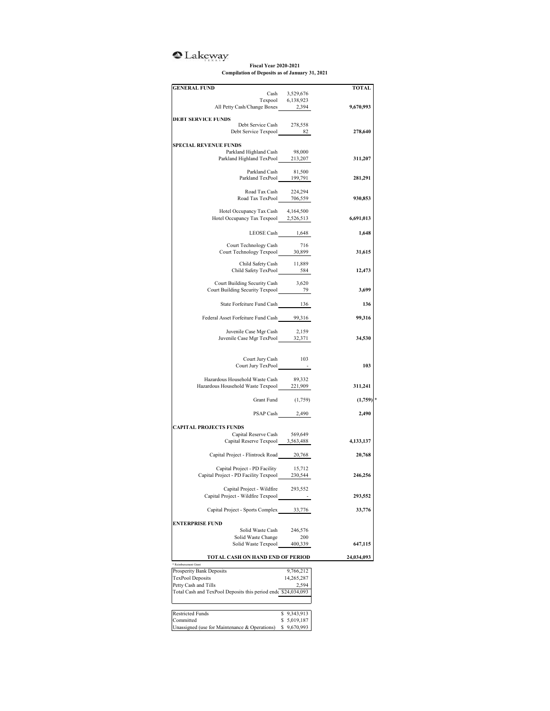## <sup>o</sup>Lakeway

## **Fiscal Year 2020-2021 Compilation of Deposits as of January 31, 2021**

| <b>GENERAL FUND</b>                                                                                                   |                                     | <b>TOTAL</b> |
|-----------------------------------------------------------------------------------------------------------------------|-------------------------------------|--------------|
|                                                                                                                       | Cash 3,529,676<br>Texpool 6,138,923 |              |
| All Petty Cash/Change Boxes 2,394                                                                                     |                                     | 9,670,993    |
| <b>DEBT SERVICE FUNDS</b>                                                                                             |                                     |              |
| Debt Service Cash 278,558                                                                                             |                                     |              |
| Debt Service Texpool 82                                                                                               |                                     | 278,640      |
|                                                                                                                       |                                     |              |
| <b>SPECIAL REVENUE FUNDS</b>                                                                                          |                                     |              |
| Parkland Highland Cash<br>Parkland Highland TexPool 213,207                                                           | 98,000                              | 311,207      |
|                                                                                                                       |                                     |              |
| Parkland Cash 81,500<br>Parkland TexPool 199,791                                                                      |                                     |              |
|                                                                                                                       |                                     | 281,291      |
| Road Tax Cash 224,294                                                                                                 |                                     |              |
| Road Tax TexPool 706,559                                                                                              |                                     | 930,853      |
|                                                                                                                       |                                     |              |
| Hotel Occupancy Tax Cash                                                                                              | 4,164,500                           |              |
| Hotel Occupancy Tax Texpool 2,526,513                                                                                 |                                     | 6,691,013    |
|                                                                                                                       |                                     |              |
| LEOSE Cash 1,648                                                                                                      |                                     | 1,648        |
| Court Technology Cash                                                                                                 | 716                                 |              |
| Court Technology Cash<br>Court Technology Texpool                                                                     | 30,899                              | 31,615       |
| Child Safety Cash 11,889                                                                                              |                                     |              |
| Child Safety TexPool 584                                                                                              |                                     | 12,473       |
|                                                                                                                       |                                     |              |
| Court Building Security Cash 3,620                                                                                    |                                     |              |
| Court Building Security Texpool 2012                                                                                  |                                     | 3,699        |
| State Forfeiture Fund Cash 136                                                                                        |                                     | 136          |
|                                                                                                                       |                                     |              |
| Federal Asset Forfeiture Fund Cash 99,316                                                                             |                                     | 99,316       |
|                                                                                                                       |                                     |              |
| Juvenile Case Mgr Cash 2,159<br>Juvenile Case Mgr TexPool 32,371                                                      |                                     | 34,530       |
|                                                                                                                       |                                     |              |
|                                                                                                                       |                                     |              |
| Court Jury Cash 103                                                                                                   |                                     |              |
| Court Jury TexPool -                                                                                                  |                                     | 103          |
|                                                                                                                       |                                     |              |
| Hazardous Household Waste Cash<br>riazardous Household Waste Cash 89,332<br>Hazardous Household Waste Texpool 221,909 | 89,332                              | 311,241      |
|                                                                                                                       |                                     |              |
|                                                                                                                       | Grant Fund (1,759)                  | (1,759)      |
|                                                                                                                       |                                     |              |
|                                                                                                                       | PSAP Cash 2,490                     | 2,490        |
| <b>CAPITAL PROJECTS FUNDS</b>                                                                                         |                                     |              |
| Capital Reserve Cash 569,649                                                                                          |                                     |              |
| Capital Reserve Texpool 3,563,488                                                                                     |                                     | 4,133,137    |
|                                                                                                                       |                                     |              |
| Capital Project - Flintrock Road 20,768                                                                               |                                     | 20,768       |
|                                                                                                                       |                                     |              |
| Capital Project - PD Facility<br>Capital Project - PD Facility Texpool 230,544                                        | 15,712                              | 246,256      |
|                                                                                                                       |                                     |              |
| Capital Project - Wildfire                                                                                            | 293,552                             |              |
| Capital Project - Wildfire Texpool                                                                                    |                                     | 293,552      |
|                                                                                                                       |                                     |              |
| Capital Project - Sports Complex                                                                                      | 33,776                              | 33,776       |
| <b>ENTERPRISE FUND</b>                                                                                                |                                     |              |
| Solid Waste Cash                                                                                                      | 246,576                             |              |
| Solid Waste Change                                                                                                    | 200                                 |              |
| Solid Waste Texpool                                                                                                   | 400,339                             | 647,115      |
| TOTAL CASH ON HAND END OF PERIOD                                                                                      |                                     | 24,034,093   |
| Reimbursement Grant                                                                                                   |                                     |              |
| Prosperity Bank Deposits                                                                                              | 9,766,212                           |              |
| <b>TexPool Deposits</b>                                                                                               | 14,265,287                          |              |
| Petty Cash and Tills                                                                                                  | 2,594                               |              |
| Total Cash and TexPool Deposits this period end \$24,034,093                                                          |                                     |              |
|                                                                                                                       |                                     |              |
|                                                                                                                       | \$9,343,913                         |              |
|                                                                                                                       |                                     |              |
| <b>Restricted Funds</b><br>Committed                                                                                  | \$5,019,187                         |              |